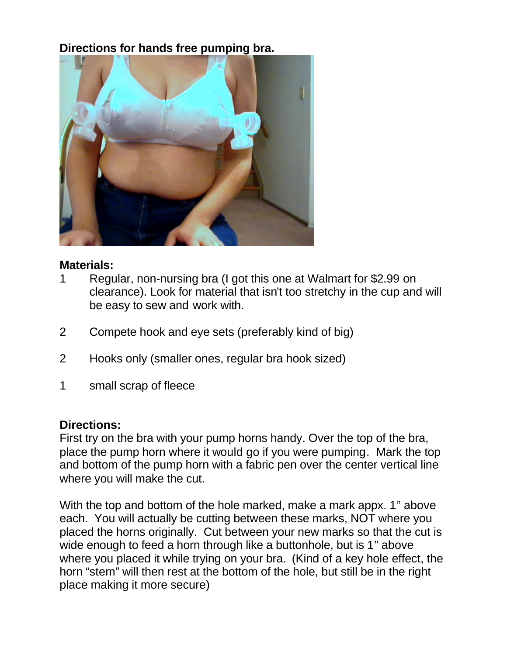## **Directions for hands free pumping bra.**



## **Materials:**

- 1 Regular, non-nursing bra (I got this one at Walmart for \$2.99 on clearance). Look for material that isn't too stretchy in the cup and will be easy to sew and work with.
- 2 Compete hook and eye sets (preferably kind of big)
- 2 Hooks only (smaller ones, regular bra hook sized)
- 1 small scrap of fleece

## **Directions:**

First try on the bra with your pump horns handy. Over the top of the bra, place the pump horn where it would go if you were pumping. Mark the top and bottom of the pump horn with a fabric pen over the center vertical line where you will make the cut.

With the top and bottom of the hole marked, make a mark appx. 1" above each. You will actually be cutting between these marks, NOT where you placed the horns originally. Cut between your new marks so that the cut is wide enough to feed a horn through like a buttonhole, but is 1" above where you placed it while trying on your bra. (Kind of a key hole effect, the horn "stem" will then rest at the bottom of the hole, but still be in the right place making it more secure)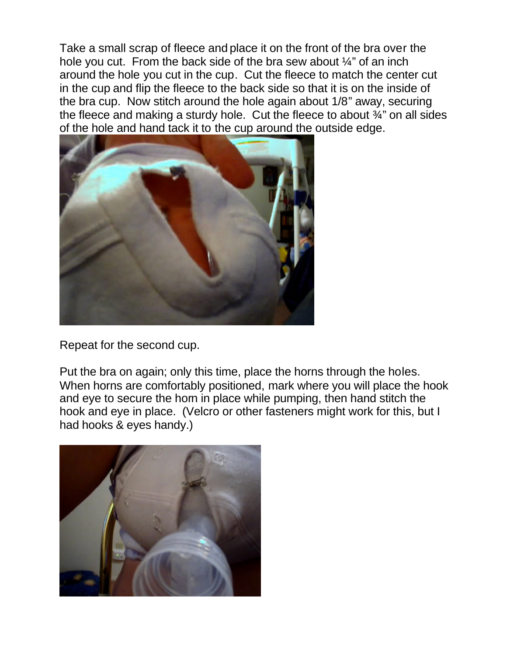Take a small scrap of fleece and place it on the front of the bra over the hole you cut. From the back side of the bra sew about  $\frac{1}{4}$ " of an inch around the hole you cut in the cup. Cut the fleece to match the center cut in the cup and flip the fleece to the back side so that it is on the inside of the bra cup. Now stitch around the hole again about 1/8" away, securing the fleece and making a sturdy hole. Cut the fleece to about ¾" on all sides of the hole and hand tack it to the cup around the outside edge.



Repeat for the second cup.

Put the bra on again; only this time, place the horns through the holes. When horns are comfortably positioned, mark where you will place the hook and eye to secure the horn in place while pumping, then hand stitch the hook and eye in place. (Velcro or other fasteners might work for this, but I had hooks & eyes handy.)

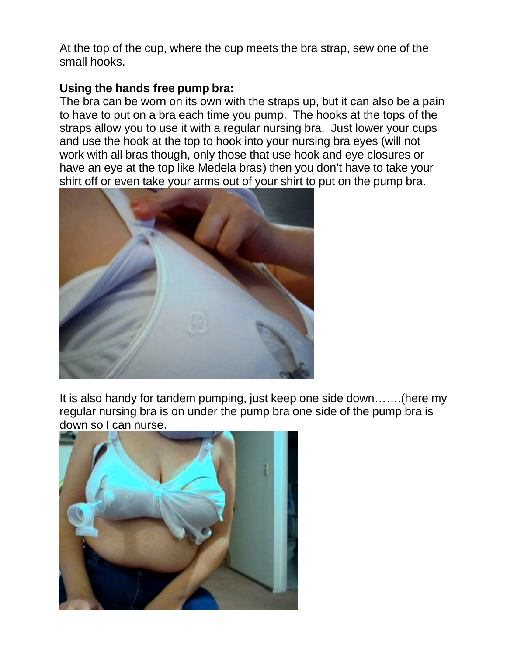At the top of the cup, where the cup meets the bra strap, sew one of the small hooks.

## **Using the hands free pump bra:**

The bra can be worn on its own with the straps up, but it can also be a pain to have to put on a bra each time you pump. The hooks at the tops of the straps allow you to use it with a regular nursing bra. Just lower your cups and use the hook at the top to hook into your nursing bra eyes (will not work with all bras though, only those that use hook and eye closures or have an eye at the top like Medela bras) then you don't have to take your shirt off or even take your arms out of your shirt to put on the pump bra.



It is also handy for tandem pumping, just keep one side down…….(here my regular nursing bra is on under the pump bra one side of the pump bra is down so I can nurse.